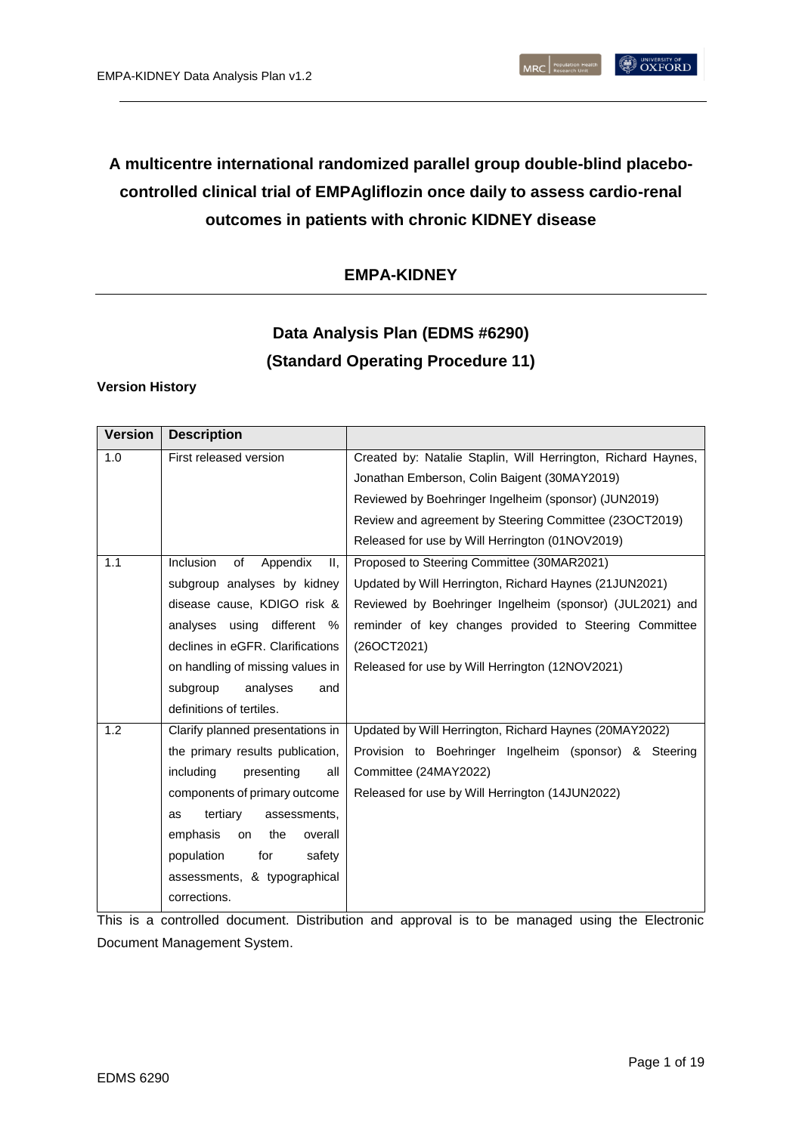# **A multicentre international randomized parallel group double-blind placebocontrolled clinical trial of EMPAgliflozin once daily to assess cardio-renal outcomes in patients with chronic KIDNEY disease**

# **EMPA-KIDNEY**

# **Data Analysis Plan (EDMS #6290) (Standard Operating Procedure 11)**

### **Version History**

| <b>Version</b> | <b>Description</b>                                                                      |                                                          |  |
|----------------|-----------------------------------------------------------------------------------------|----------------------------------------------------------|--|
| 1.0            | Created by: Natalie Staplin, Will Herrington, Richard Haynes,<br>First released version |                                                          |  |
|                |                                                                                         | Jonathan Emberson, Colin Baigent (30MAY2019)             |  |
|                |                                                                                         | Reviewed by Boehringer Ingelheim (sponsor) (JUN2019)     |  |
|                |                                                                                         | Review and agreement by Steering Committee (23OCT2019)   |  |
|                |                                                                                         | Released for use by Will Herrington (01NOV2019)          |  |
| 1.1            | Inclusion<br>Proposed to Steering Committee (30MAR2021)<br>of<br>Appendix<br>II.        |                                                          |  |
|                | subgroup analyses by kidney                                                             | Updated by Will Herrington, Richard Haynes (21JUN2021)   |  |
|                | disease cause, KDIGO risk &                                                             | Reviewed by Boehringer Ingelheim (sponsor) (JUL2021) and |  |
|                | analyses using<br>different<br>%                                                        | reminder of key changes provided to Steering Committee   |  |
|                | declines in eGFR. Clarifications                                                        | (26OCT2021)                                              |  |
|                | on handling of missing values in                                                        | Released for use by Will Herrington (12NOV2021)          |  |
|                | subgroup<br>analyses<br>and                                                             |                                                          |  |
|                | definitions of tertiles.                                                                |                                                          |  |
| 1.2            | Clarify planned presentations in                                                        | Updated by Will Herrington, Richard Haynes (20MAY2022)   |  |
|                | the primary results publication,                                                        | Provision to Boehringer Ingelheim (sponsor) & Steering   |  |
|                | including<br>presenting<br>all                                                          | Committee (24MAY2022)                                    |  |
|                | components of primary outcome                                                           | Released for use by Will Herrington (14JUN2022)          |  |
|                | tertiary<br>assessments,<br>as                                                          |                                                          |  |
|                | emphasis<br>the<br>overall<br>on                                                        |                                                          |  |
|                | population<br>for<br>safety                                                             |                                                          |  |
|                | assessments, & typographical                                                            |                                                          |  |
|                | corrections.                                                                            |                                                          |  |

This is a controlled document. Distribution and approval is to be managed using the Electronic Document Management System.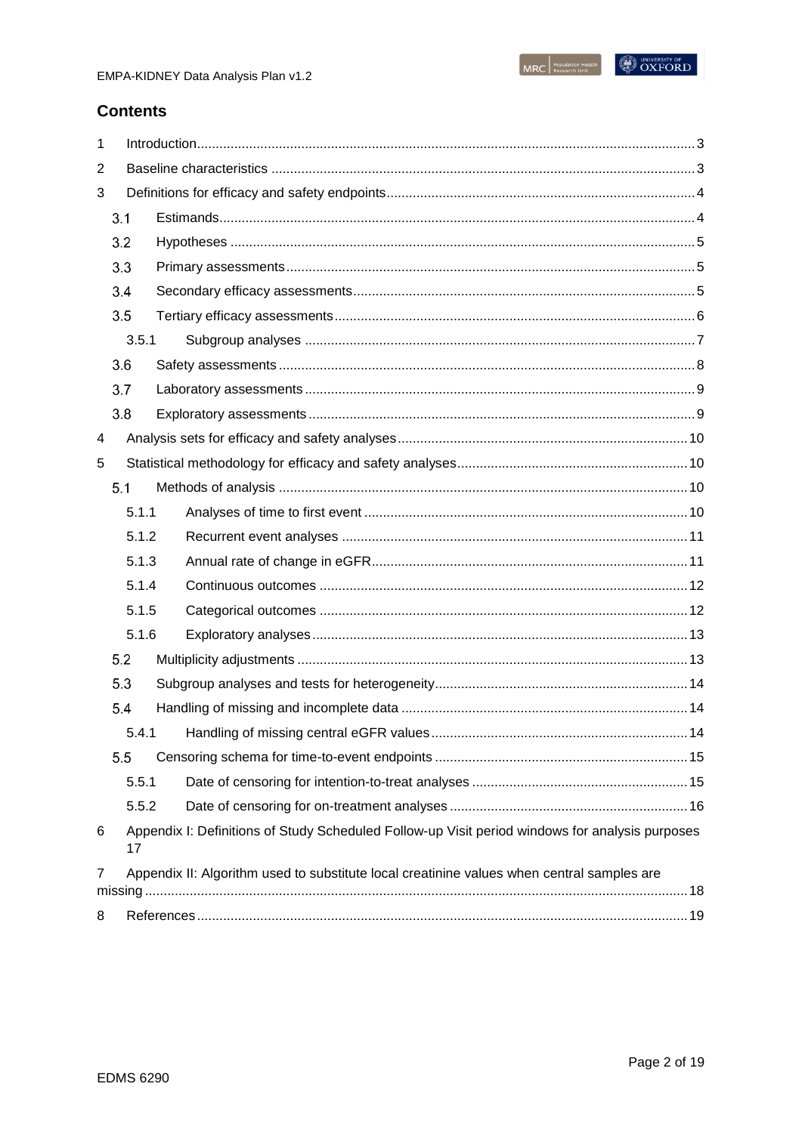# **Contents**

| 1              |                                                                                            |       |  |                                                                                                 |    |  |
|----------------|--------------------------------------------------------------------------------------------|-------|--|-------------------------------------------------------------------------------------------------|----|--|
| 2              |                                                                                            |       |  |                                                                                                 |    |  |
| 3              |                                                                                            |       |  |                                                                                                 |    |  |
|                |                                                                                            | 3.1   |  |                                                                                                 |    |  |
|                | 3.2<br>3.3                                                                                 |       |  |                                                                                                 |    |  |
|                |                                                                                            |       |  |                                                                                                 |    |  |
|                | 3.4                                                                                        |       |  |                                                                                                 |    |  |
|                | 3.5                                                                                        |       |  |                                                                                                 |    |  |
|                |                                                                                            | 3.5.1 |  |                                                                                                 |    |  |
|                | 3.6                                                                                        |       |  |                                                                                                 |    |  |
|                | 3.7                                                                                        |       |  |                                                                                                 |    |  |
|                | 3.8                                                                                        |       |  |                                                                                                 |    |  |
| 4              |                                                                                            |       |  |                                                                                                 |    |  |
| 5              |                                                                                            |       |  |                                                                                                 |    |  |
|                | 5.1                                                                                        |       |  |                                                                                                 |    |  |
|                |                                                                                            | 5.1.1 |  |                                                                                                 |    |  |
|                | 5.1.2<br>5.1.3                                                                             |       |  |                                                                                                 |    |  |
|                |                                                                                            |       |  |                                                                                                 |    |  |
|                |                                                                                            | 5.1.4 |  |                                                                                                 |    |  |
|                |                                                                                            | 5.1.5 |  |                                                                                                 |    |  |
|                |                                                                                            | 5.1.6 |  |                                                                                                 |    |  |
|                | 5.2                                                                                        |       |  |                                                                                                 |    |  |
| 5.3<br>5.4     |                                                                                            |       |  |                                                                                                 |    |  |
|                |                                                                                            |       |  |                                                                                                 |    |  |
|                |                                                                                            |       |  |                                                                                                 | 14 |  |
| 5.5            |                                                                                            |       |  |                                                                                                 |    |  |
|                |                                                                                            | 5.5.1 |  |                                                                                                 |    |  |
|                |                                                                                            | 5.5.2 |  |                                                                                                 |    |  |
| 6              |                                                                                            | 17    |  | Appendix I: Definitions of Study Scheduled Follow-up Visit period windows for analysis purposes |    |  |
| $\overline{7}$ | Appendix II: Algorithm used to substitute local creatinine values when central samples are |       |  |                                                                                                 |    |  |
|                |                                                                                            |       |  |                                                                                                 |    |  |
| 8              |                                                                                            |       |  |                                                                                                 |    |  |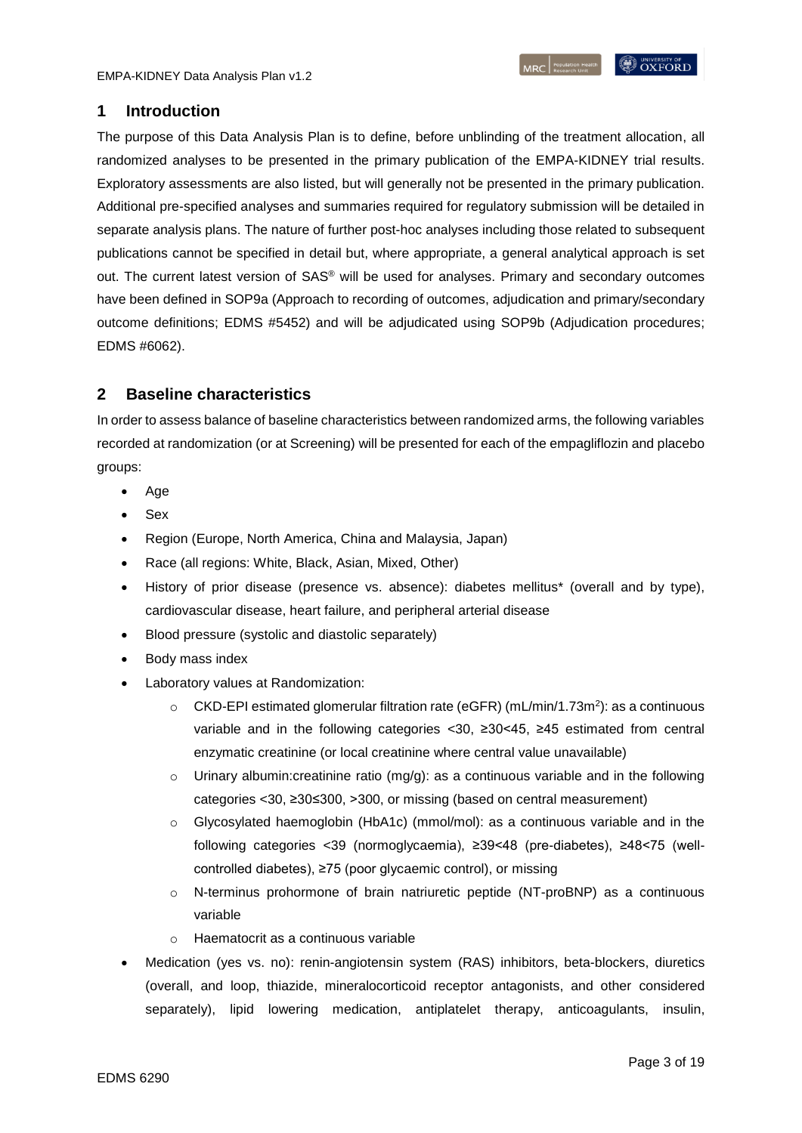# <span id="page-2-0"></span>**1 Introduction**

The purpose of this Data Analysis Plan is to define, before unblinding of the treatment allocation, all randomized analyses to be presented in the primary publication of the EMPA-KIDNEY trial results. Exploratory assessments are also listed, but will generally not be presented in the primary publication. Additional pre-specified analyses and summaries required for regulatory submission will be detailed in separate analysis plans. The nature of further post-hoc analyses including those related to subsequent publications cannot be specified in detail but, where appropriate, a general analytical approach is set out. The current latest version of SAS® will be used for analyses. Primary and secondary outcomes have been defined in SOP9a (Approach to recording of outcomes, adjudication and primary/secondary outcome definitions; EDMS #5452) and will be adjudicated using SOP9b (Adjudication procedures; EDMS #6062).

# <span id="page-2-1"></span>**2 Baseline characteristics**

In order to assess balance of baseline characteristics between randomized arms, the following variables recorded at randomization (or at Screening) will be presented for each of the empagliflozin and placebo groups:

- Age
- Sex
- Region (Europe, North America, China and Malaysia, Japan)
- Race (all regions: White, Black, Asian, Mixed, Other)
- History of prior disease (presence vs. absence): diabetes mellitus\* (overall and by type), cardiovascular disease, heart failure, and peripheral arterial disease
- Blood pressure (systolic and diastolic separately)
- Body mass index
- Laboratory values at Randomization:
	- $\circ$  CKD-EPI estimated glomerular filtration rate (eGFR) (mL/min/1.73m<sup>2</sup>): as a continuous variable and in the following categories <30, ≥30<45, ≥45 estimated from central enzymatic creatinine (or local creatinine where central value unavailable)
	- $\circ$  Urinary albumin: creatinine ratio (mg/g): as a continuous variable and in the following categories <30, ≥30≤300, >300, or missing (based on central measurement)
	- $\circ$  Glycosylated haemoglobin (HbA1c) (mmol/mol): as a continuous variable and in the following categories <39 (normoglycaemia), ≥39<48 (pre-diabetes), ≥48<75 (wellcontrolled diabetes), ≥75 (poor glycaemic control), or missing
	- o N-terminus prohormone of brain natriuretic peptide (NT-proBNP) as a continuous variable
	- o Haematocrit as a continuous variable
- Medication (yes vs. no): renin-angiotensin system (RAS) inhibitors, beta-blockers, diuretics (overall, and loop, thiazide, mineralocorticoid receptor antagonists, and other considered separately), lipid lowering medication, antiplatelet therapy, anticoagulants, insulin,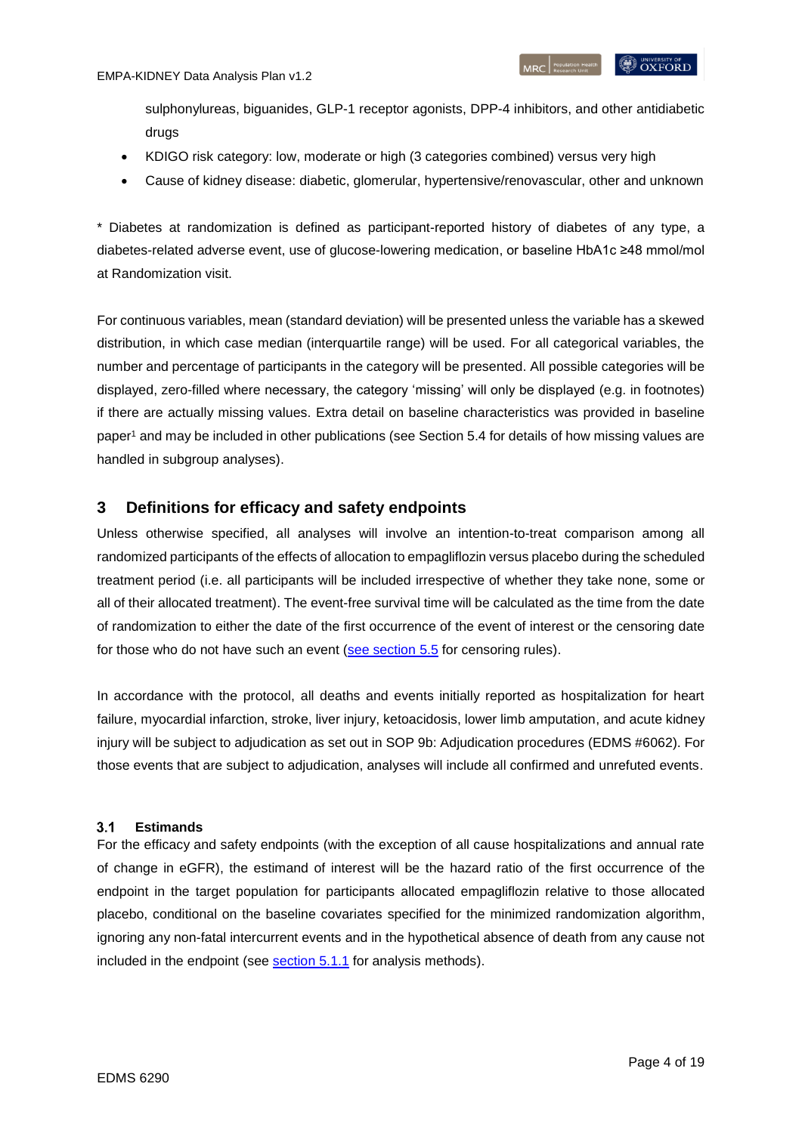sulphonylureas, biguanides, GLP-1 receptor agonists, DPP-4 inhibitors, and other antidiabetic drugs

- KDIGO risk category: low, moderate or high (3 categories combined) versus very high
- Cause of kidney disease: diabetic, glomerular, hypertensive/renovascular, other and unknown

\* Diabetes at randomization is defined as participant-reported history of diabetes of any type, a diabetes-related adverse event, use of glucose-lowering medication, or baseline HbA1c ≥48 mmol/mol at Randomization visit.

For continuous variables, mean (standard deviation) will be presented unless the variable has a skewed distribution, in which case median (interquartile range) will be used. For all categorical variables, the number and percentage of participants in the category will be presented. All possible categories will be displayed, zero-filled where necessary, the category 'missing' will only be displayed (e.g. in footnotes) if there are actually missing values. Extra detail on baseline characteristics was provided in baseline pape[r](#page-18-1)<sup>1</sup> and may be included in other publications (see Section [5.4](#page-13-1) for details of how missing values are handled in subgroup analyses).

# <span id="page-3-0"></span>**3 Definitions for efficacy and safety endpoints**

Unless otherwise specified, all analyses will involve an intention-to-treat comparison among all randomized participants of the effects of allocation to empagliflozin versus placebo during the scheduled treatment period (i.e. all participants will be included irrespective of whether they take none, some or all of their allocated treatment). The event-free survival time will be calculated as the time from the date of randomization to either the date of the first occurrence of the event of interest or the censoring date for those who do not have such an event [\(see section](#page-14-0) 5.5 for censoring rules).

In accordance with the protocol, all deaths and events initially reported as hospitalization for heart failure, myocardial infarction, stroke, liver injury, ketoacidosis, lower limb amputation, and acute kidney injury will be subject to adjudication as set out in SOP 9b: Adjudication procedures (EDMS #6062). For those events that are subject to adjudication, analyses will include all confirmed and unrefuted events.

#### <span id="page-3-1"></span> $3.1$ **Estimands**

For the efficacy and safety endpoints (with the exception of all cause hospitalizations and annual rate of change in eGFR), the estimand of interest will be the hazard ratio of the first occurrence of the endpoint in the target population for participants allocated empagliflozin relative to those allocated placebo, conditional on the baseline covariates specified for the minimized randomization algorithm, ignoring any non-fatal intercurrent events and in the hypothetical absence of death from any cause not included in the endpoint (see [section](#page-9-3) 5.1.1 for analysis methods).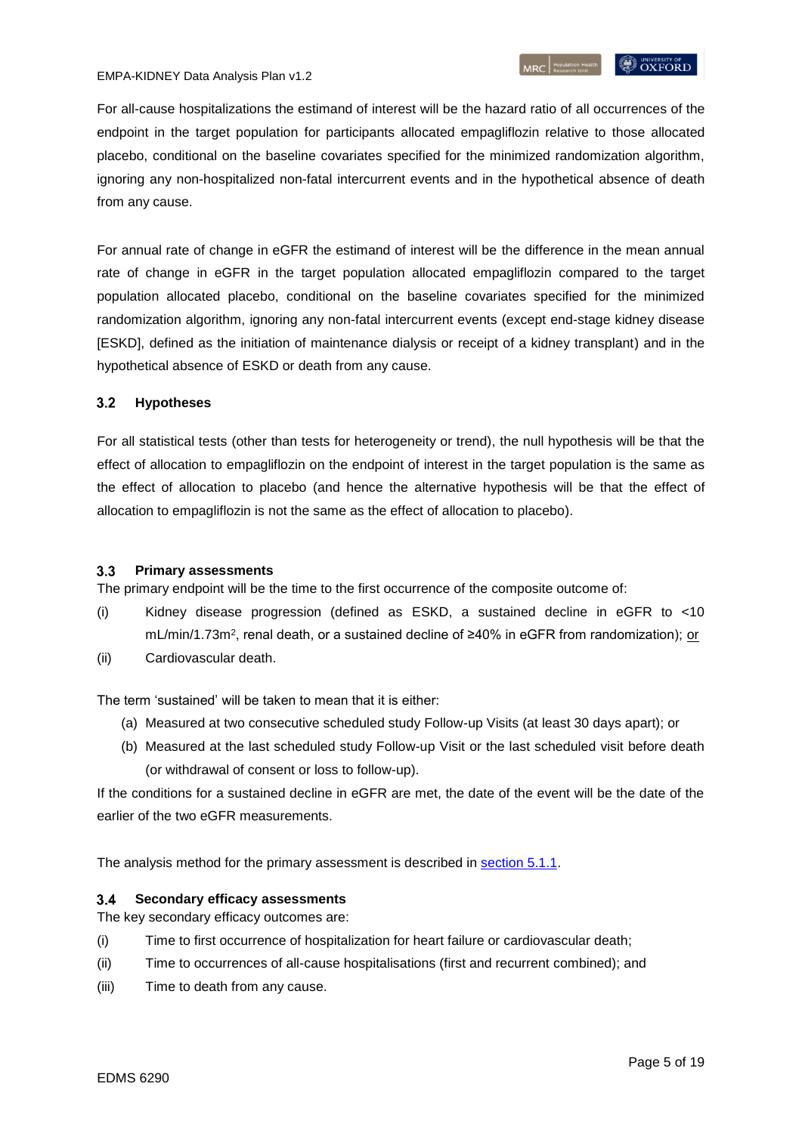For all-cause hospitalizations the estimand of interest will be the hazard ratio of all occurrences of the endpoint in the target population for participants allocated empagliflozin relative to those allocated placebo, conditional on the baseline covariates specified for the minimized randomization algorithm, ignoring any non-hospitalized non-fatal intercurrent events and in the hypothetical absence of death from any cause.

For annual rate of change in eGFR the estimand of interest will be the difference in the mean annual rate of change in eGFR in the target population allocated empagliflozin compared to the target population allocated placebo, conditional on the baseline covariates specified for the minimized randomization algorithm, ignoring any non-fatal intercurrent events (except end-stage kidney disease [ESKD], defined as the initiation of maintenance dialysis or receipt of a kidney transplant) and in the hypothetical absence of ESKD or death from any cause.

#### <span id="page-4-0"></span> $3.2$ **Hypotheses**

For all statistical tests (other than tests for heterogeneity or trend), the null hypothesis will be that the effect of allocation to empagliflozin on the endpoint of interest in the target population is the same as the effect of allocation to placebo (and hence the alternative hypothesis will be that the effect of allocation to empagliflozin is not the same as the effect of allocation to placebo).

#### <span id="page-4-1"></span> $3.3$ **Primary assessments**

The primary endpoint will be the time to the first occurrence of the composite outcome of:

- (i) Kidney disease progression (defined as ESKD, a sustained decline in eGFR to <10 mL/min/1.73m<sup>2</sup>, renal death, or a sustained decline of ≥40% in eGFR from randomization); <u>or</u>
- (ii) Cardiovascular death.

The term 'sustained' will be taken to mean that it is either:

- (a) Measured at two consecutive scheduled study Follow-up Visits (at least 30 days apart); or
- (b) Measured at the last scheduled study Follow-up Visit or the last scheduled visit before death (or withdrawal of consent or loss to follow-up).

If the conditions for a sustained decline in eGFR are met, the date of the event will be the date of the earlier of the two eGFR measurements.

The analysis method for the primary assessment is described in [section](#page-9-3) 5.1.1.

#### <span id="page-4-2"></span> $3.4$ **Secondary efficacy assessments**

The key secondary efficacy outcomes are:

- (i) Time to first occurrence of hospitalization for heart failure or cardiovascular death;
- (ii) Time to occurrences of all-cause hospitalisations (first and recurrent combined); and
- (iii) Time to death from any cause.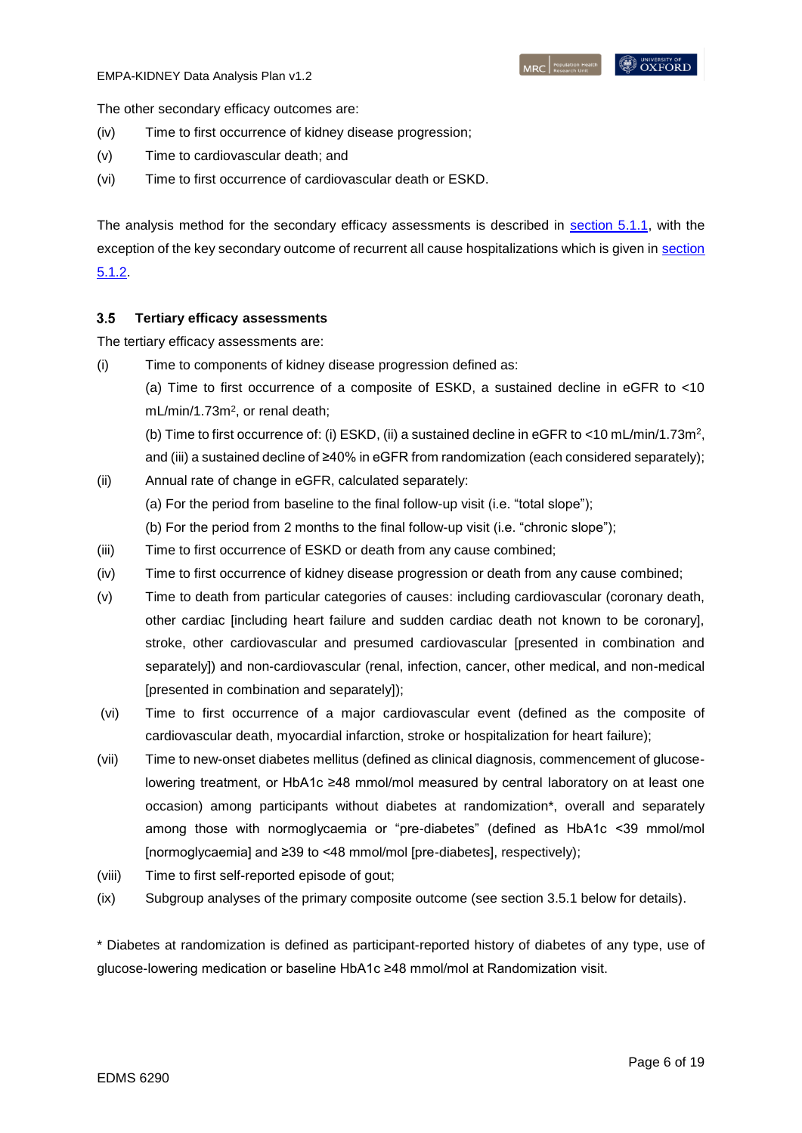The other secondary efficacy outcomes are:

- (iv) Time to first occurrence of kidney disease progression;
- (v) Time to cardiovascular death; and
- (vi) Time to first occurrence of cardiovascular death or ESKD.

The analysis method for the secondary efficacy assessments is described in [section](#page-9-3) 5.1.1, with the exception of the key secondary outcome of recurrent all cause hospitalizations which is given in [section](#page-10-0)  [5.1.2.](#page-10-0)

#### <span id="page-5-0"></span> $3.5$ **Tertiary efficacy assessments**

The tertiary efficacy assessments are:

(i) Time to components of kidney disease progression defined as:

(a) Time to first occurrence of a composite of ESKD, a sustained decline in eGFR to <10 mL/min/1.73m<sup>2</sup>, or renal death;

(b) Time to first occurrence of: (i) ESKD, (ii) a sustained decline in eGFR to <10 mL/min/1.73m<sup>2</sup>, and (iii) a sustained decline of ≥40% in eGFR from randomization (each considered separately);

- (ii) Annual rate of change in eGFR, calculated separately: (a) For the period from baseline to the final follow-up visit (i.e. "total slope"); (b) For the period from 2 months to the final follow-up visit (i.e. "chronic slope");
- (iii) Time to first occurrence of ESKD or death from any cause combined;
- (iv) Time to first occurrence of kidney disease progression or death from any cause combined;
- (v) Time to death from particular categories of causes: including cardiovascular (coronary death, other cardiac [including heart failure and sudden cardiac death not known to be coronary], stroke, other cardiovascular and presumed cardiovascular [presented in combination and separately]) and non-cardiovascular (renal, infection, cancer, other medical, and non-medical [presented in combination and separately]);
- (vi) Time to first occurrence of a major cardiovascular event (defined as the composite of cardiovascular death, myocardial infarction, stroke or hospitalization for heart failure);
- (vii) Time to new-onset diabetes mellitus (defined as clinical diagnosis, commencement of glucoselowering treatment, or HbA1c ≥48 mmol/mol measured by central laboratory on at least one occasion) among participants without diabetes at randomization\*, overall and separately among those with normoglycaemia or "pre-diabetes" (defined as HbA1c <39 mmol/mol [normoglycaemia] and ≥39 to <48 mmol/mol [pre-diabetes], respectively);
- (viii) Time to first self-reported episode of gout;
- (ix) Subgroup analyses of the primary composite outcome (see section 3.5.1 below for details).

\* Diabetes at randomization is defined as participant-reported history of diabetes of any type, use of glucose-lowering medication or baseline HbA1c ≥48 mmol/mol at Randomization visit.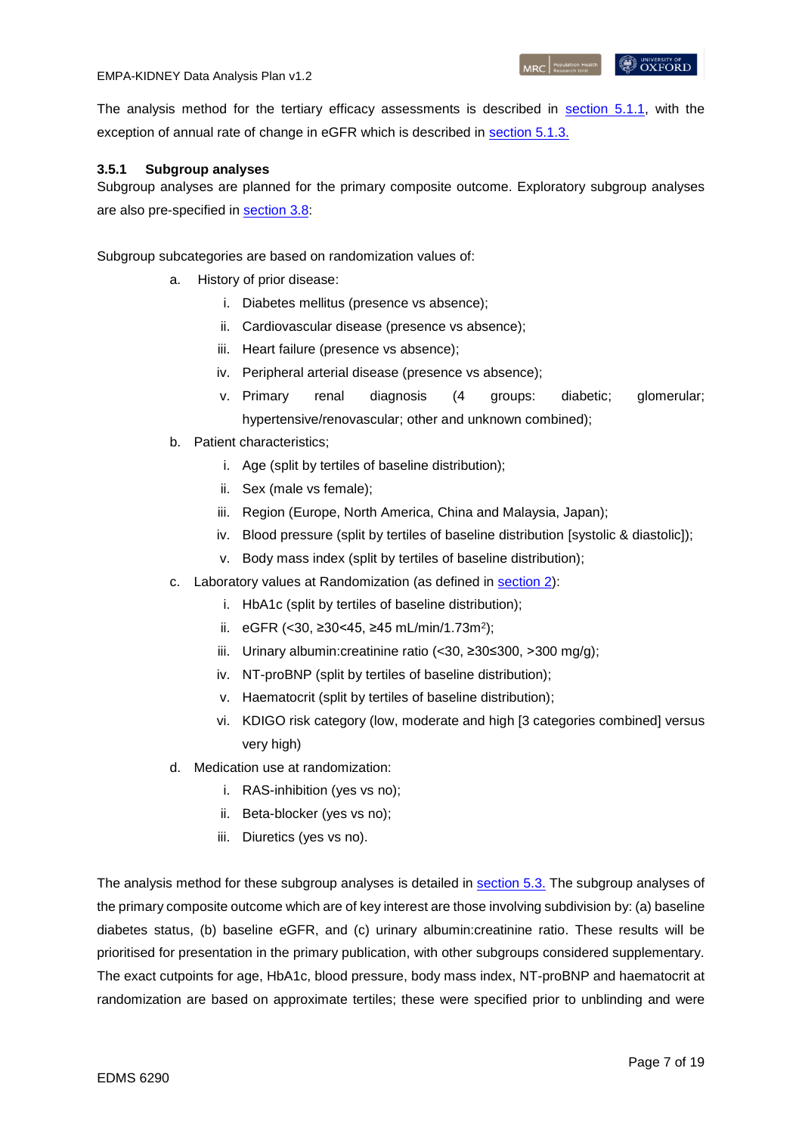The analysis method for the tertiary efficacy assessments is described in [section](#page-9-3) 5.1.1, with the exception of annual rate of change in eGFR which is described in [section 5.1.3.](#page-10-1)

### <span id="page-6-0"></span>**3.5.1 Subgroup analyses**

Subgroup analyses are planned for the primary composite outcome. Exploratory subgroup analyses are also pre-specified in [section 3.8:](#page-12-0)

Subgroup subcategories are based on randomization values of:

- a. History of prior disease:
	- i. Diabetes mellitus (presence vs absence);
	- ii. Cardiovascular disease (presence vs absence);
	- iii. Heart failure (presence vs absence);
	- iv. Peripheral arterial disease (presence vs absence);
	- v. Primary renal diagnosis (4 groups: diabetic; glomerular; hypertensive/renovascular; other and unknown combined);
- b. Patient characteristics;
	- i. Age (split by tertiles of baseline distribution);
	- ii. Sex (male vs female);
	- iii. Region (Europe, North America, China and Malaysia, Japan);
	- iv. Blood pressure (split by tertiles of baseline distribution [systolic & diastolic]);
	- v. Body mass index (split by tertiles of baseline distribution);
- c. Laboratory values at Randomization (as defined in [section 2\)](#page-2-1):
	- i. HbA1c (split by tertiles of baseline distribution);
	- ii. eGFR (<30, ≥30<45, ≥45 mL/min/1.73m<sup>2</sup> );
	- iii. Urinary albumin:creatinine ratio (<30, ≥30≤300, >300 mg/g);
	- iv. NT-proBNP (split by tertiles of baseline distribution);
	- v. Haematocrit (split by tertiles of baseline distribution);
	- vi. KDIGO risk category (low, moderate and high [3 categories combined] versus very high)
- d. Medication use at randomization:
	- i. RAS-inhibition (yes vs no);
	- ii. Beta-blocker (yes vs no);
	- iii. Diuretics (yes vs no).

The analysis method for these subgroup analyses is detailed in [section 5.3.](#page-13-0) The subgroup analyses of the primary composite outcome which are of key interest are those involving subdivision by: (a) baseline diabetes status, (b) baseline eGFR, and (c) urinary albumin:creatinine ratio. These results will be prioritised for presentation in the primary publication, with other subgroups considered supplementary. The exact cutpoints for age, HbA1c, blood pressure, body mass index, NT-proBNP and haematocrit at randomization are based on approximate tertiles; these were specified prior to unblinding and were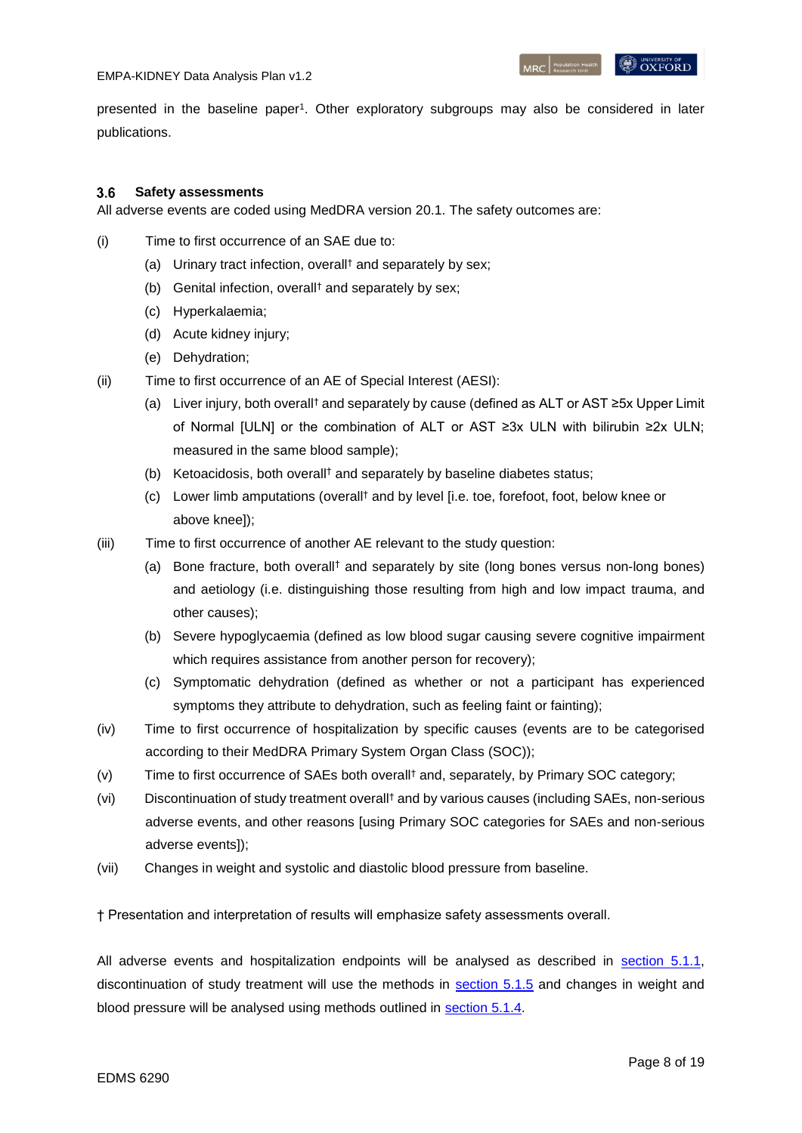#### <span id="page-7-0"></span> $3.6$ **Safety assessments**

All adverse events are coded using MedDRA version 20.1. The safety outcomes are:

- (i) Time to first occurrence of an SAE due to:
	- (a) Urinary tract infection, overall† and separately by sex;
	- (b) Genital infection, overall† and separately by sex;
	- (c) Hyperkalaemia;
	- (d) Acute kidney injury;
	- (e) Dehydration;
- (ii) Time to first occurrence of an AE of Special Interest (AESI):
	- (a) Liver injury, both overall† and separately by cause (defined as ALT or AST ≥5x Upper Limit of Normal [ULN] or the combination of ALT or AST ≥3x ULN with bilirubin ≥2x ULN; measured in the same blood sample);
	- (b) Ketoacidosis, both overall† and separately by baseline diabetes status;
	- (c) Lower limb amputations (overall† and by level [i.e. toe, forefoot, foot, below knee or above knee]);
- (iii) Time to first occurrence of another AE relevant to the study question:
	- (a) Bone fracture, both overall† and separately by site (long bones versus non-long bones) and aetiology (i.e. distinguishing those resulting from high and low impact trauma, and other causes);
	- (b) Severe hypoglycaemia (defined as low blood sugar causing severe cognitive impairment which requires assistance from another person for recovery);
	- (c) Symptomatic dehydration (defined as whether or not a participant has experienced symptoms they attribute to dehydration, such as feeling faint or fainting);
- (iv) Time to first occurrence of hospitalization by specific causes (events are to be categorised according to their MedDRA Primary System Organ Class (SOC));
- (v) Time to first occurrence of SAEs both overall† and, separately, by Primary SOC category;
- (vi) Discontinuation of study treatment overall† and by various causes (including SAEs, non-serious adverse events, and other reasons [using Primary SOC categories for SAEs and non-serious adverse events]);
- (vii) Changes in weight and systolic and diastolic blood pressure from baseline.

† Presentation and interpretation of results will emphasize safety assessments overall.

All adverse events and hospitalization endpoints will be analysed as described in [section](#page-9-3) 5.1.1, discontinuation of study treatment will use the methods in [section 5.1.5](#page-11-1) and changes in weight and blood pressure will be analysed using methods outlined in [section](#page-11-0) 5.1.4.

**OXFORD**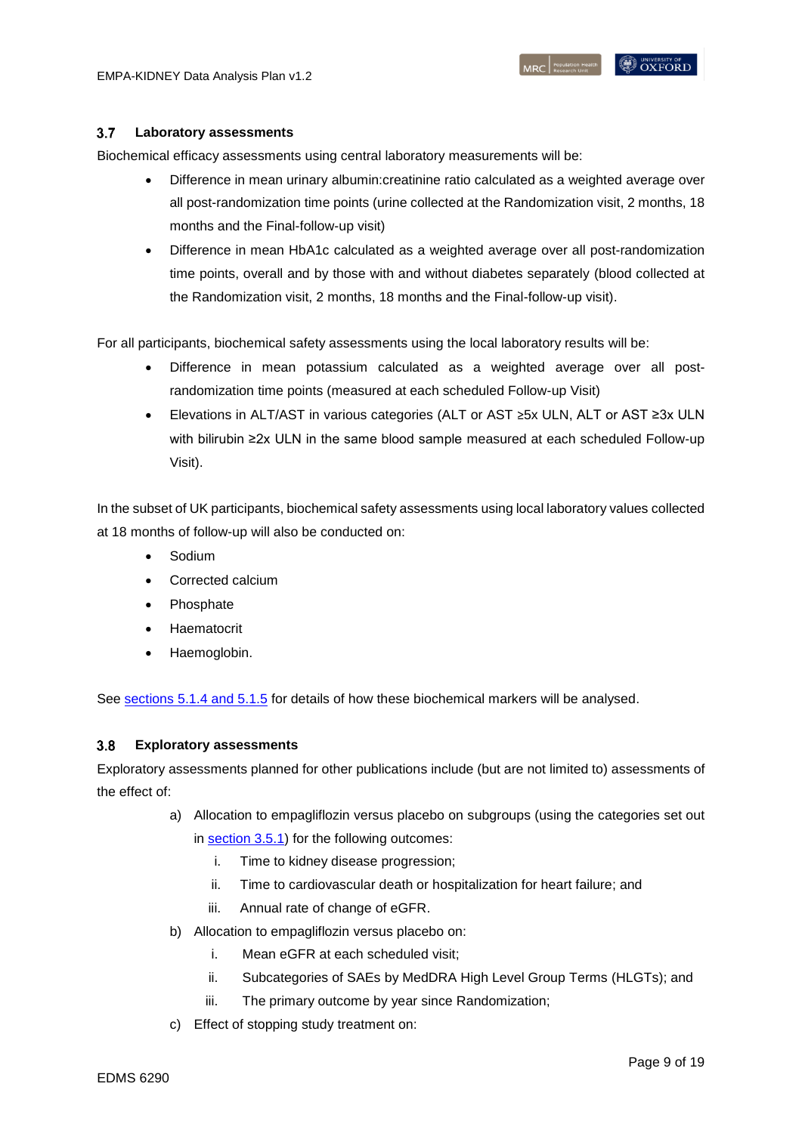#### <span id="page-8-0"></span> $3.7$ **Laboratory assessments**

Biochemical efficacy assessments using central laboratory measurements will be:

- Difference in mean urinary albumin:creatinine ratio calculated as a weighted average over all post-randomization time points (urine collected at the Randomization visit, 2 months, 18 months and the Final-follow-up visit)
- Difference in mean HbA1c calculated as a weighted average over all post-randomization time points, overall and by those with and without diabetes separately (blood collected at the Randomization visit, 2 months, 18 months and the Final-follow-up visit).

For all participants, biochemical safety assessments using the local laboratory results will be:

- Difference in mean potassium calculated as a weighted average over all postrandomization time points (measured at each scheduled Follow-up Visit)
- Elevations in ALT/AST in various categories (ALT or AST ≥5x ULN, ALT or AST ≥3x ULN with bilirubin ≥2x ULN in the same blood sample measured at each scheduled Follow-up Visit).

In the subset of UK participants, biochemical safety assessments using local laboratory values collected at 18 months of follow-up will also be conducted on:

- Sodium
- Corrected calcium
- Phosphate
- Haematocrit
- Haemoglobin.

See [sections](#page-11-0) 5.1.4 and [5.1.5](#page-11-1) for details of how these biochemical markers will be analysed.

#### <span id="page-8-1"></span> $3.8$ **Exploratory assessments**

Exploratory assessments planned for other publications include (but are not limited to) assessments of the effect of:

a) Allocation to empagliflozin versus placebo on subgroups (using the categories set out

in [section 3.5.1\)](#page-6-0) for the following outcomes:

- i. Time to kidney disease progression;
- ii. Time to cardiovascular death or hospitalization for heart failure; and
- iii. Annual rate of change of eGFR.
- b) Allocation to empagliflozin versus placebo on:
	- i. Mean eGFR at each scheduled visit;
	- ii. Subcategories of SAEs by MedDRA High Level Group Terms (HLGTs); and
	- iii. The primary outcome by year since Randomization;
- c) Effect of stopping study treatment on: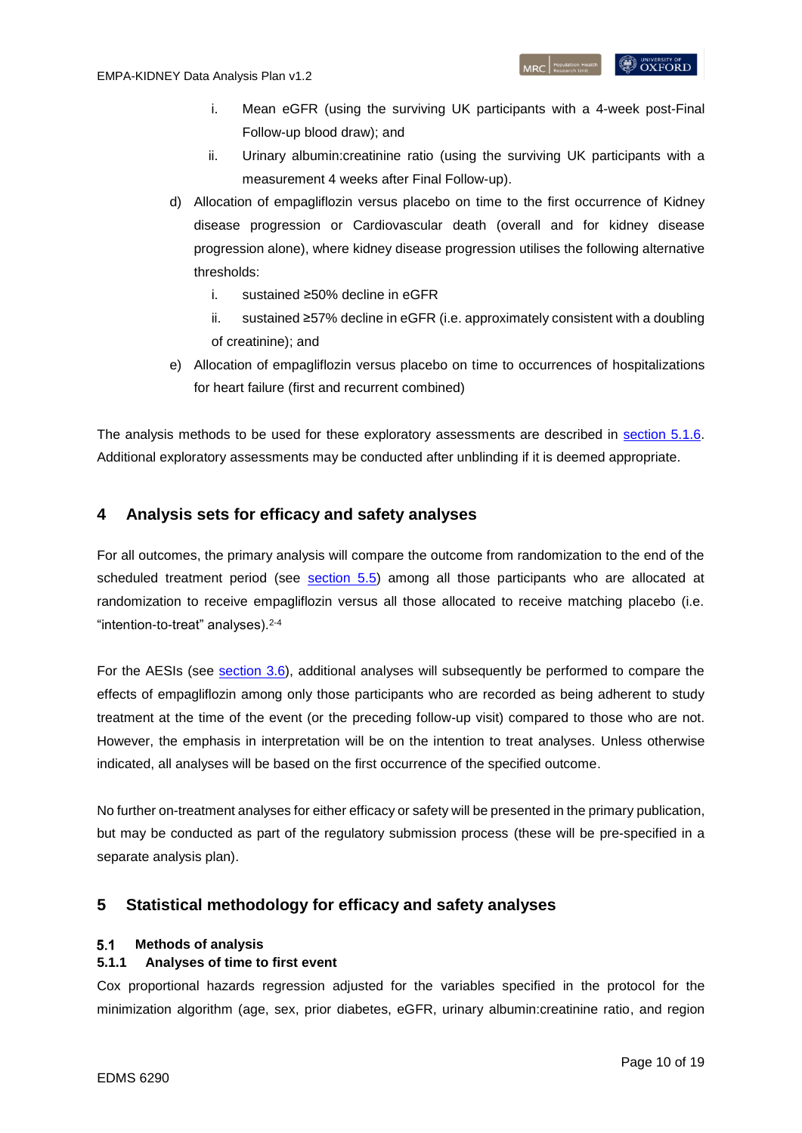- i. Mean eGFR (using the surviving UK participants with a 4-week post-Final Follow-up blood draw); and
- ii. Urinary albumin:creatinine ratio (using the surviving UK participants with a measurement 4 weeks after Final Follow-up).
- d) Allocation of empagliflozin versus placebo on time to the first occurrence of Kidney disease progression or Cardiovascular death (overall and for kidney disease progression alone), where kidney disease progression utilises the following alternative thresholds:
	- i. sustained ≥50% decline in eGFR
	- ii. sustained ≥57% decline in eGFR (i.e. approximately consistent with a doubling of creatinine); and
- e) Allocation of empagliflozin versus placebo on time to occurrences of hospitalizations for heart failure (first and recurrent combined)

The analysis methods to be used for these exploratory assessments are described in [section 5.1.6.](#page-12-0) Additional exploratory assessments may be conducted after unblinding if it is deemed appropriate.

# <span id="page-9-0"></span>**4 Analysis sets for efficacy and safety analyses**

For all outcomes, the primary analysis will compare the outcome from randomization to the end of the scheduled treatment period (see [section](#page-14-0) 5.5) among all those participants who are allocated at randomization to receive empagliflozin versus all those allocated to receive matching placebo (i.e. "intention-to-treat" analyses).[2-4](#page-18-2)

For the AESIs (see [section](#page-7-0) 3.6), additional analyses will subsequently be performed to compare the effects of empagliflozin among only those participants who are recorded as being adherent to study treatment at the time of the event (or the preceding follow-up visit) compared to those who are not. However, the emphasis in interpretation will be on the intention to treat analyses. Unless otherwise indicated, all analyses will be based on the first occurrence of the specified outcome.

No further on-treatment analyses for either efficacy or safety will be presented in the primary publication, but may be conducted as part of the regulatory submission process (these will be pre-specified in a separate analysis plan).

# <span id="page-9-1"></span>**5 Statistical methodology for efficacy and safety analyses**

#### <span id="page-9-2"></span> $5.1$ **Methods of analysis**

## <span id="page-9-3"></span>**5.1.1 Analyses of time to first event**

Cox proportional hazards regression adjusted for the variables specified in the protocol for the minimization algorithm (age, sex, prior diabetes, eGFR, urinary albumin:creatinine ratio, and region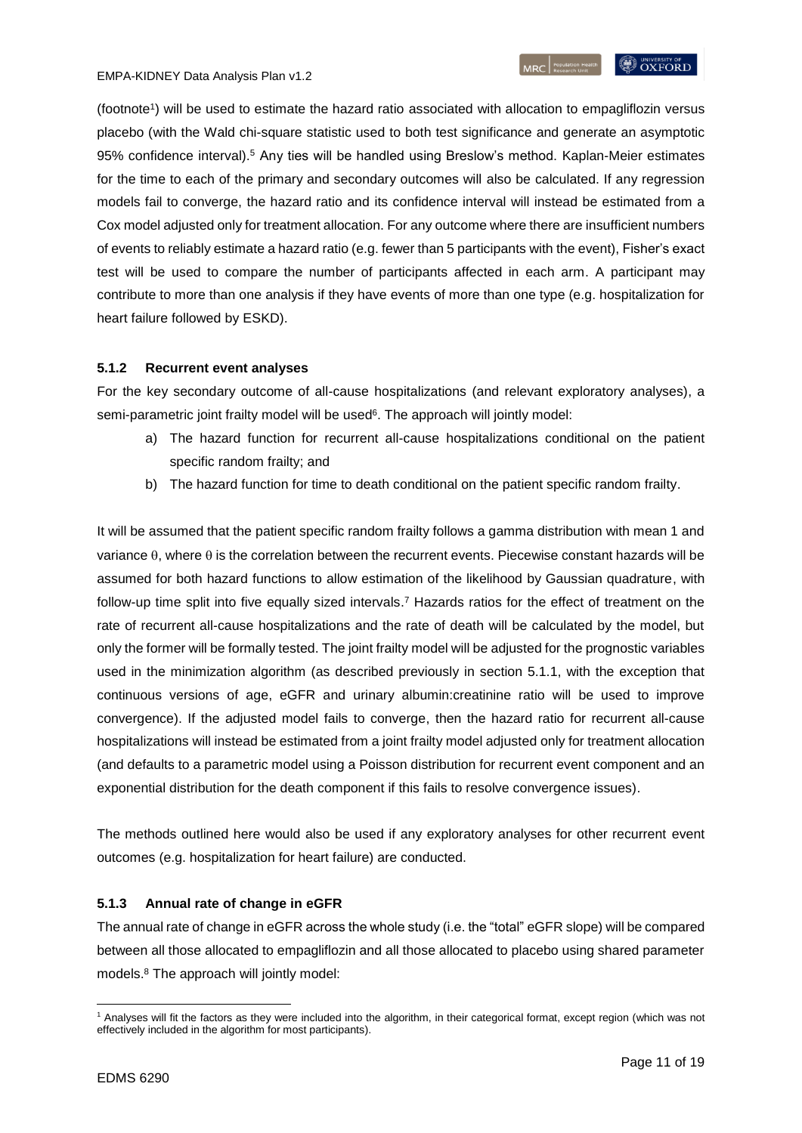(footnote<sup>1</sup> ) will be used to estimate the hazard ratio associated with allocation to empagliflozin versus placebo (with the Wald chi-square statistic used to both test significance and generate an asymptotic 95% confidence interval).[5](#page-18-3) Any ties will be handled using Breslow's method. Kaplan-Meier estimates for the time to each of the primary and secondary outcomes will also be calculated. If any regression models fail to converge, the hazard ratio and its confidence interval will instead be estimated from a Cox model adjusted only for treatment allocation. For any outcome where there are insufficient numbers of events to reliably estimate a hazard ratio (e.g. fewer than 5 participants with the event), Fisher's exact test will be used to compare the number of participants affected in each arm. A participant may contribute to more than one analysis if they have events of more than one type (e.g. hospitalization for

### <span id="page-10-0"></span>**5.1.2 Recurrent event analyses**

heart failure followed by ESKD).

For the key secondary outcome of all-cause hospitalizations (and relevant exploratory analyses), a semi-parametric joint frailty mo[d](#page-18-4)el will be used<sup>6</sup>. The approach will jointly model:

- a) The hazard function for recurrent all-cause hospitalizations conditional on the patient specific random frailty; and
- b) The hazard function for time to death conditional on the patient specific random frailty.

It will be assumed that the patient specific random frailty follows a gamma distribution with mean 1 and variance  $\theta$ , where  $\theta$  is the correlation between the recurrent events. Piecewise constant hazards will be assumed for both hazard functions to allow estimation of the likelihood by Gaussian quadrature, with follow-up time split into five equally sized intervals. [7](#page-18-5) Hazards ratios for the effect of treatment on the rate of recurrent all-cause hospitalizations and the rate of death will be calculated by the model, but only the former will be formally tested. The joint frailty model will be adjusted for the prognostic variables used in the minimization algorithm (as described previously in section 5.1.1, with the exception that continuous versions of age, eGFR and urinary albumin:creatinine ratio will be used to improve convergence). If the adjusted model fails to converge, then the hazard ratio for recurrent all-cause hospitalizations will instead be estimated from a joint frailty model adjusted only for treatment allocation (and defaults to a parametric model using a Poisson distribution for recurrent event component and an exponential distribution for the death component if this fails to resolve convergence issues).

The methods outlined here would also be used if any exploratory analyses for other recurrent event outcomes (e.g. hospitalization for heart failure) are conducted.

### <span id="page-10-1"></span>**5.1.3 Annual rate of change in eGFR**

The annual rate of change in eGFR across the whole study (i.e. the "total" eGFR slope) will be compared between all those allocated to empagliflozin and all those allocated to placebo using shared parameter models.[8](#page-18-6) The approach will jointly model:

**<sup>.</sup>** <sup>1</sup> Analyses will fit the factors as they were included into the algorithm, in their categorical format, except region (which was not effectively included in the algorithm for most participants).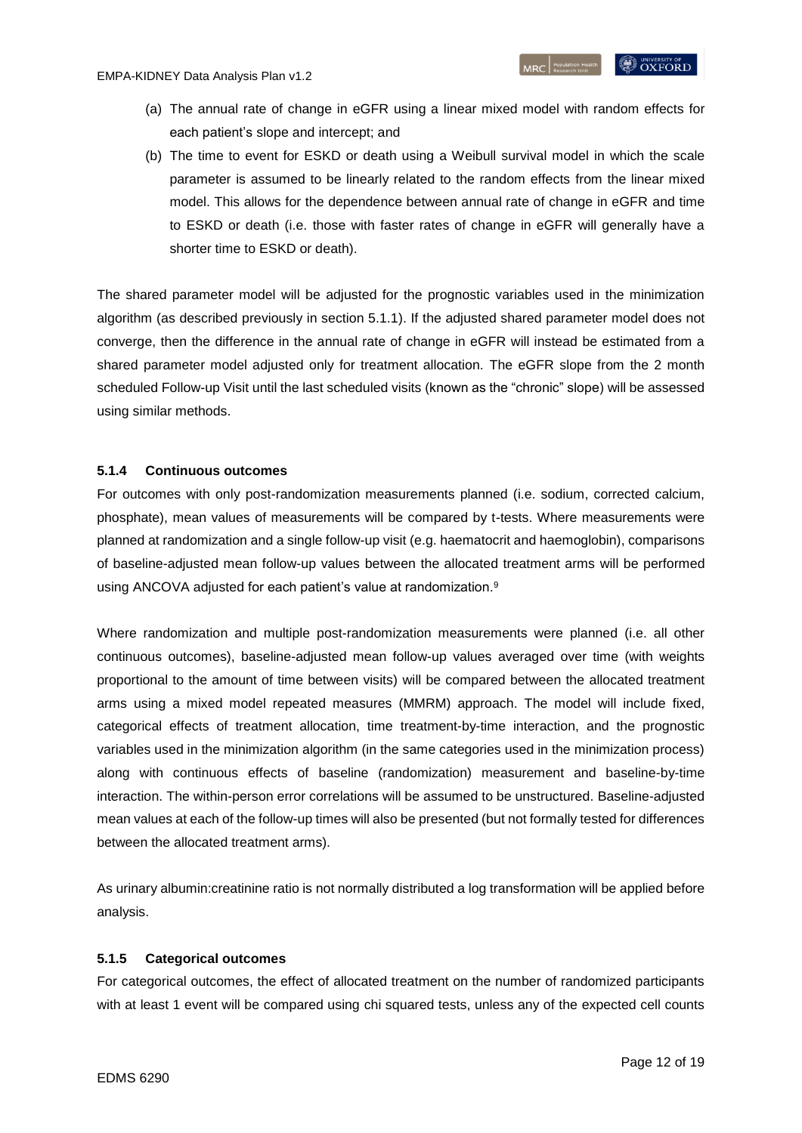- (a) The annual rate of change in eGFR using a linear mixed model with random effects for each patient's slope and intercept; and
- (b) The time to event for ESKD or death using a Weibull survival model in which the scale parameter is assumed to be linearly related to the random effects from the linear mixed model. This allows for the dependence between annual rate of change in eGFR and time to ESKD or death (i.e. those with faster rates of change in eGFR will generally have a shorter time to ESKD or death).

The shared parameter model will be adjusted for the prognostic variables used in the minimization algorithm (as described previously in section 5.1.1). If the adjusted shared parameter model does not converge, then the difference in the annual rate of change in eGFR will instead be estimated from a shared parameter model adjusted only for treatment allocation. The eGFR slope from the 2 month scheduled Follow-up Visit until the last scheduled visits (known as the "chronic" slope) will be assessed using similar methods.

### <span id="page-11-0"></span>**5.1.4 Continuous outcomes**

For outcomes with only post-randomization measurements planned (i.e. sodium, corrected calcium, phosphate), mean values of measurements will be compared by t-tests. Where measurements were planned at randomization and a single follow-up visit (e.g. haematocrit and haemoglobin), comparisons of baseline-adjusted mean follow-up values between the allocated treatment arms will be performed using ANCOVA adjusted for each patient's value at randomization[.](#page-18-7)<sup>9</sup>

Where randomization and multiple post-randomization measurements were planned (i.e. all other continuous outcomes), baseline-adjusted mean follow-up values averaged over time (with weights proportional to the amount of time between visits) will be compared between the allocated treatment arms using a mixed model repeated measures (MMRM) approach. The model will include fixed, categorical effects of treatment allocation, time treatment-by-time interaction, and the prognostic variables used in the minimization algorithm (in the same categories used in the minimization process) along with continuous effects of baseline (randomization) measurement and baseline-by-time interaction. The within-person error correlations will be assumed to be unstructured. Baseline-adjusted mean values at each of the follow-up times will also be presented (but not formally tested for differences between the allocated treatment arms).

As urinary albumin:creatinine ratio is not normally distributed a log transformation will be applied before analysis.

### <span id="page-11-1"></span>**5.1.5 Categorical outcomes**

For categorical outcomes, the effect of allocated treatment on the number of randomized participants with at least 1 event will be compared using chi squared tests, unless any of the expected cell counts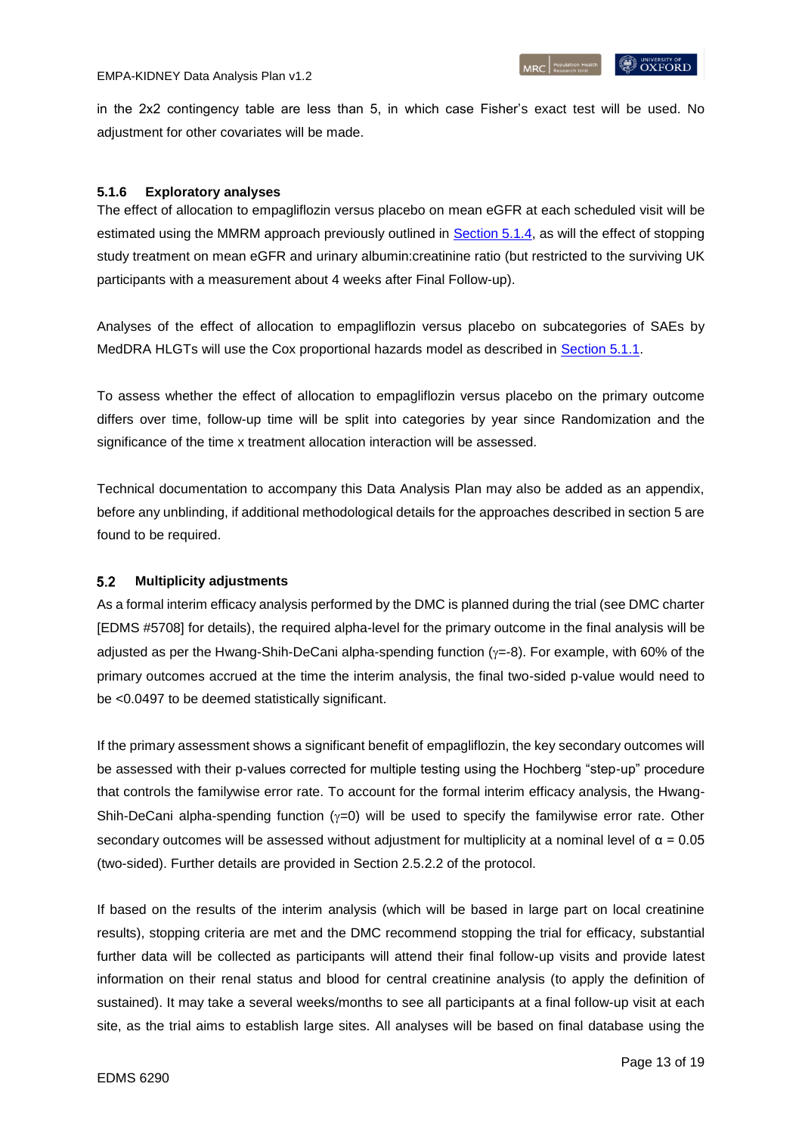in the 2x2 contingency table are less than 5, in which case Fisher's exact test will be used. No adjustment for other covariates will be made.

## <span id="page-12-0"></span>**5.1.6 Exploratory analyses**

The effect of allocation to empagliflozin versus placebo on mean eGFR at each scheduled visit will be estimated using the MMRM approach previously outlined in [Section 5.1.4,](#page-11-0) as will the effect of stopping study treatment on mean eGFR and urinary albumin:creatinine ratio (but restricted to the surviving UK participants with a measurement about 4 weeks after Final Follow-up).

Analyses of the effect of allocation to empagliflozin versus placebo on subcategories of SAEs by MedDRA HLGTs will use the Cox proportional hazards model as described in [Section 5.1.1.](#page-9-3)

To assess whether the effect of allocation to empagliflozin versus placebo on the primary outcome differs over time, follow-up time will be split into categories by year since Randomization and the significance of the time x treatment allocation interaction will be assessed.

Technical documentation to accompany this Data Analysis Plan may also be added as an appendix, before any unblinding, if additional methodological details for the approaches described in section 5 are found to be required.

#### <span id="page-12-1"></span> $5.2$ **Multiplicity adjustments**

As a formal interim efficacy analysis performed by the DMC is planned during the trial (see DMC charter [EDMS #5708] for details), the required alpha-level for the primary outcome in the final analysis will be adjusted as per the Hwang-Shih-DeCani alpha-spending function ( $y = -8$ ). For example, with 60% of the primary outcomes accrued at the time the interim analysis, the final two-sided p-value would need to be <0.0497 to be deemed statistically significant.

If the primary assessment shows a significant benefit of empagliflozin, the key secondary outcomes will be assessed with their p-values corrected for multiple testing using the Hochberg "step-up" procedure that controls the familywise error rate. To account for the formal interim efficacy analysis, the Hwang-Shih-DeCani alpha-spending function ( $\gamma$ =0) will be used to specify the familywise error rate. Other secondary outcomes will be assessed without adjustment for multiplicity at a nominal level of  $\alpha = 0.05$ (two-sided). Further details are provided in Section 2.5.2.2 of the protocol.

If based on the results of the interim analysis (which will be based in large part on local creatinine results), stopping criteria are met and the DMC recommend stopping the trial for efficacy, substantial further data will be collected as participants will attend their final follow-up visits and provide latest information on their renal status and blood for central creatinine analysis (to apply the definition of sustained). It may take a several weeks/months to see all participants at a final follow-up visit at each site, as the trial aims to establish large sites. All analyses will be based on final database using the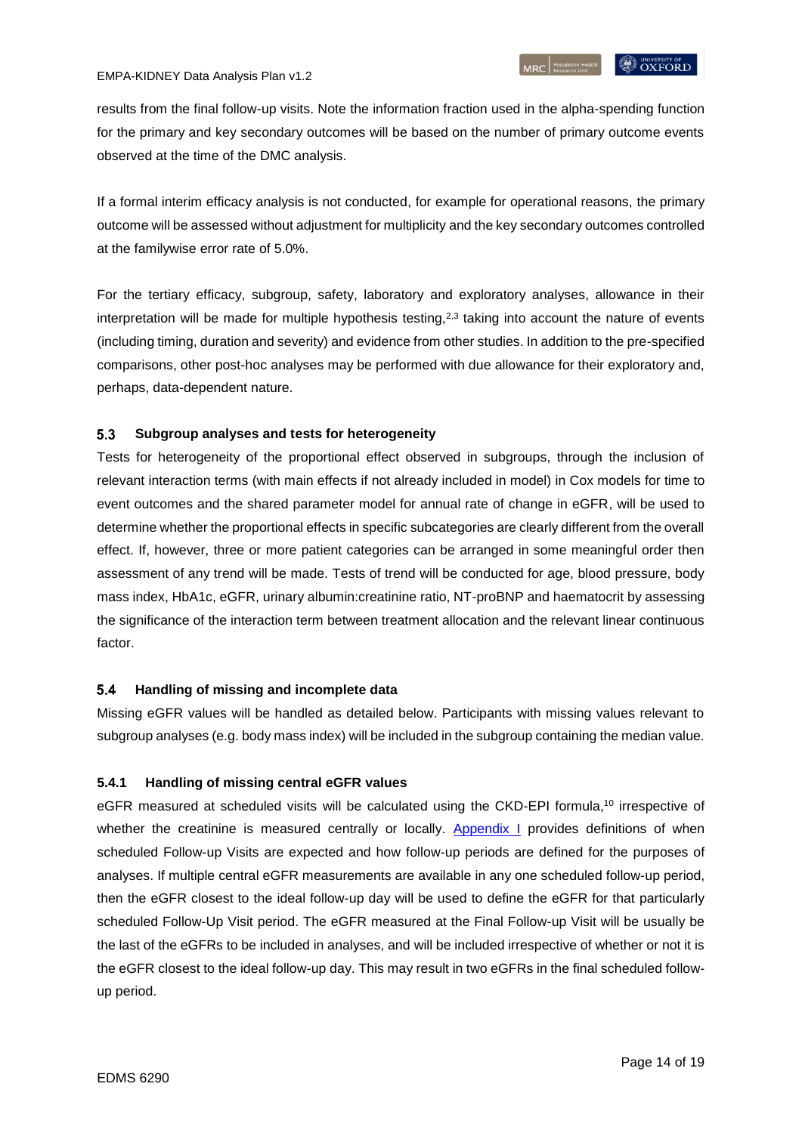results from the final follow-up visits. Note the information fraction used in the alpha-spending function for the primary and key secondary outcomes will be based on the number of primary outcome events observed at the time of the DMC analysis.

If a formal interim efficacy analysis is not conducted, for example for operational reasons, the primary outcome will be assessed without adjustment for multiplicity and the key secondary outcomes controlled at the familywise error rate of 5.0%.

For the tertiary efficacy, subgroup, safety, laboratory and exploratory analyses, allowance in their interpretation will be made for multiple hypothesis testing, $2.3$  $2.3$  taking into account the nature of events (including timing, duration and severity) and evidence from other studies. In addition to the pre-specified comparisons, other post-hoc analyses may be performed with due allowance for their exploratory and, perhaps, data-dependent nature.

#### <span id="page-13-0"></span>5.3 **Subgroup analyses and tests for heterogeneity**

Tests for heterogeneity of the proportional effect observed in subgroups, through the inclusion of relevant interaction terms (with main effects if not already included in model) in Cox models for time to event outcomes and the shared parameter model for annual rate of change in eGFR, will be used to determine whether the proportional effects in specific subcategories are clearly different from the overall effect. If, however, three or more patient categories can be arranged in some meaningful order then assessment of any trend will be made. Tests of trend will be conducted for age, blood pressure, body mass index, HbA1c, eGFR, urinary albumin:creatinine ratio, NT-proBNP and haematocrit by assessing the significance of the interaction term between treatment allocation and the relevant linear continuous factor.

#### <span id="page-13-1"></span>5.4 **Handling of missing and incomplete data**

Missing eGFR values will be handled as detailed below. Participants with missing values relevant to subgroup analyses (e.g. body mass index) will be included in the subgroup containing the median value.

### <span id="page-13-2"></span>**5.4.1 Handling of missing central eGFR values**

eGFR measured at scheduled visits will be calculated using the CKD-EPI formula,<sup>[10](#page-18-9)</sup> irrespective of whether the creatinine is measured centrally or locally. [Appendix I](#page-16-0) provides definitions of when scheduled Follow-up Visits are expected and how follow-up periods are defined for the purposes of analyses. If multiple central eGFR measurements are available in any one scheduled follow-up period, then the eGFR closest to the ideal follow-up day will be used to define the eGFR for that particularly scheduled Follow-Up Visit period. The eGFR measured at the Final Follow-up Visit will be usually be the last of the eGFRs to be included in analyses, and will be included irrespective of whether or not it is the eGFR closest to the ideal follow-up day. This may result in two eGFRs in the final scheduled followup period.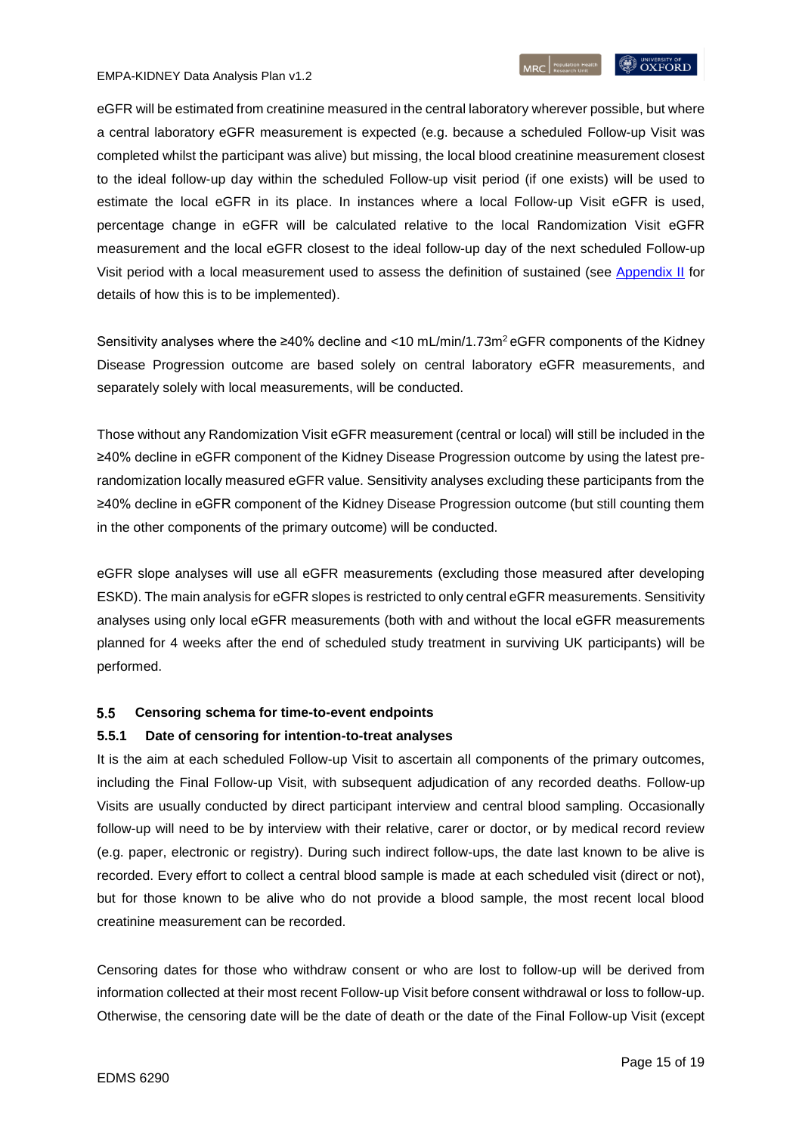eGFR will be estimated from creatinine measured in the central laboratory wherever possible, but where a central laboratory eGFR measurement is expected (e.g. because a scheduled Follow-up Visit was completed whilst the participant was alive) but missing, the local blood creatinine measurement closest to the ideal follow-up day within the scheduled Follow-up visit period (if one exists) will be used to estimate the local eGFR in its place. In instances where a local Follow-up Visit eGFR is used, percentage change in eGFR will be calculated relative to the local Randomization Visit eGFR measurement and the local eGFR closest to the ideal follow-up day of the next scheduled Follow-up Visit period with a local measurement used to assess the definition of sustained (see [Appendix II](#page-17-0) for details of how this is to be implemented).

Sensitivity analyses where the ≥40% decline and <10 mL/min/1.73m<sup>2</sup> eGFR components of the Kidney Disease Progression outcome are based solely on central laboratory eGFR measurements, and separately solely with local measurements, will be conducted.

Those without any Randomization Visit eGFR measurement (central or local) will still be included in the ≥40% decline in eGFR component of the Kidney Disease Progression outcome by using the latest prerandomization locally measured eGFR value. Sensitivity analyses excluding these participants from the ≥40% decline in eGFR component of the Kidney Disease Progression outcome (but still counting them in the other components of the primary outcome) will be conducted.

eGFR slope analyses will use all eGFR measurements (excluding those measured after developing ESKD). The main analysis for eGFR slopes is restricted to only central eGFR measurements. Sensitivity analyses using only local eGFR measurements (both with and without the local eGFR measurements planned for 4 weeks after the end of scheduled study treatment in surviving UK participants) will be performed.

#### <span id="page-14-0"></span> $5.5$ **Censoring schema for time-to-event endpoints**

### <span id="page-14-1"></span>**5.5.1 Date of censoring for intention-to-treat analyses**

It is the aim at each scheduled Follow-up Visit to ascertain all components of the primary outcomes, including the Final Follow-up Visit, with subsequent adjudication of any recorded deaths. Follow-up Visits are usually conducted by direct participant interview and central blood sampling. Occasionally follow-up will need to be by interview with their relative, carer or doctor, or by medical record review (e.g. paper, electronic or registry). During such indirect follow-ups, the date last known to be alive is recorded. Every effort to collect a central blood sample is made at each scheduled visit (direct or not), but for those known to be alive who do not provide a blood sample, the most recent local blood creatinine measurement can be recorded.

Censoring dates for those who withdraw consent or who are lost to follow-up will be derived from information collected at their most recent Follow-up Visit before consent withdrawal or loss to follow-up. Otherwise, the censoring date will be the date of death or the date of the Final Follow-up Visit (except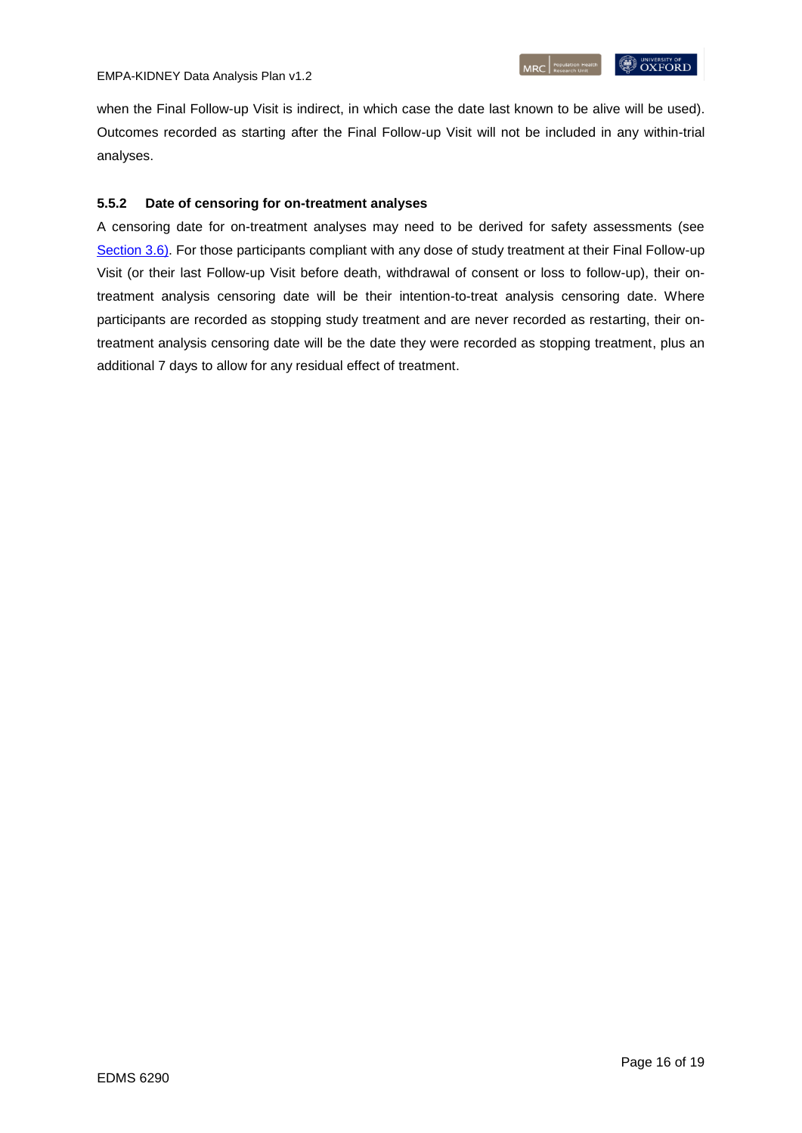when the Final Follow-up Visit is indirect, in which case the date last known to be alive will be used). Outcomes recorded as starting after the Final Follow-up Visit will not be included in any within-trial analyses.

## <span id="page-15-0"></span>**5.5.2 Date of censoring for on-treatment analyses**

A censoring date for on-treatment analyses may need to be derived for safety assessments (see [Section](#page-7-0) 3.6). For those participants compliant with any dose of study treatment at their Final Follow-up Visit (or their last Follow-up Visit before death, withdrawal of consent or loss to follow-up), their ontreatment analysis censoring date will be their intention-to-treat analysis censoring date. Where participants are recorded as stopping study treatment and are never recorded as restarting, their ontreatment analysis censoring date will be the date they were recorded as stopping treatment, plus an additional 7 days to allow for any residual effect of treatment.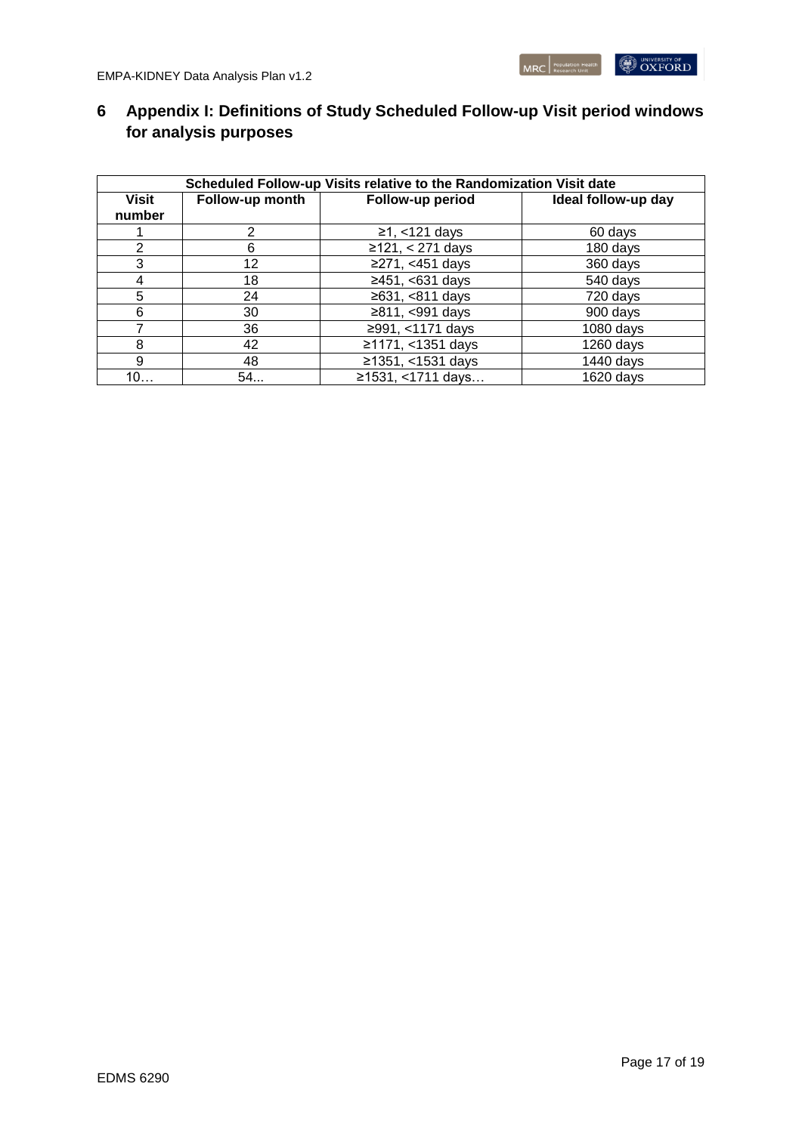# <span id="page-16-0"></span>**6 Appendix I: Definitions of Study Scheduled Follow-up Visit period windows for analysis purposes**

| Scheduled Follow-up Visits relative to the Randomization Visit date |                 |                    |                     |  |  |  |  |
|---------------------------------------------------------------------|-----------------|--------------------|---------------------|--|--|--|--|
| <b>Visit</b><br>number                                              | Follow-up month | Follow-up period   | Ideal follow-up day |  |  |  |  |
|                                                                     | 2               | $≥1, < 121$ days   | 60 days             |  |  |  |  |
| 2                                                                   | 6               | $≥121, < 271$ days | 180 days            |  |  |  |  |
| 3                                                                   | 12              | ≥271, <451 days    | 360 days            |  |  |  |  |
| 4                                                                   | 18              | ≥451, <631 days    | 540 days            |  |  |  |  |
| 5                                                                   | 24              | ≥631, <811 days    | 720 days            |  |  |  |  |
| 6                                                                   | 30              | ≥811, <991 days    | 900 days            |  |  |  |  |
|                                                                     | 36              | ≥991, <1171 days   | $1080$ days         |  |  |  |  |
| 8                                                                   | 42              | ≥1171, <1351 days  | $1260$ days         |  |  |  |  |
| 9                                                                   | 48              | ≥1351, <1531 days  | 1440 days           |  |  |  |  |
| 10                                                                  | 54              | ≥1531, <1711 days  | 1620 days           |  |  |  |  |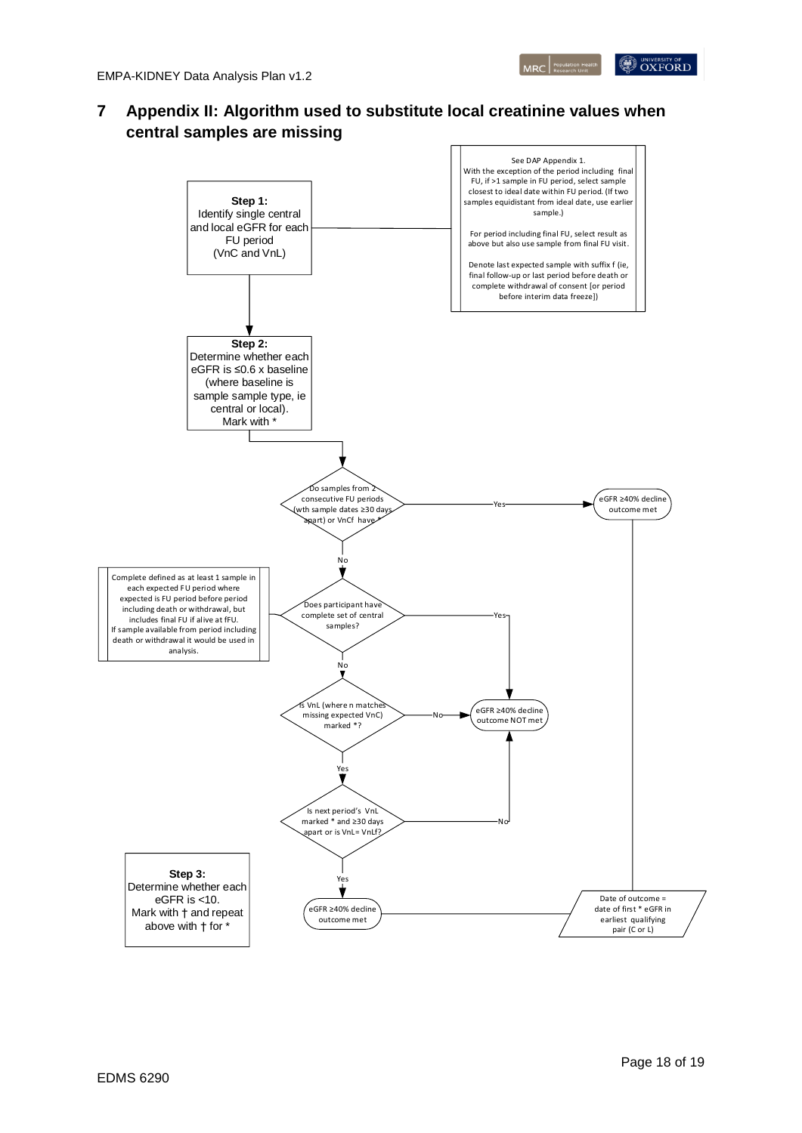

# <span id="page-17-0"></span>**7 Appendix II: Algorithm used to substitute local creatinine values when central samples are missing**